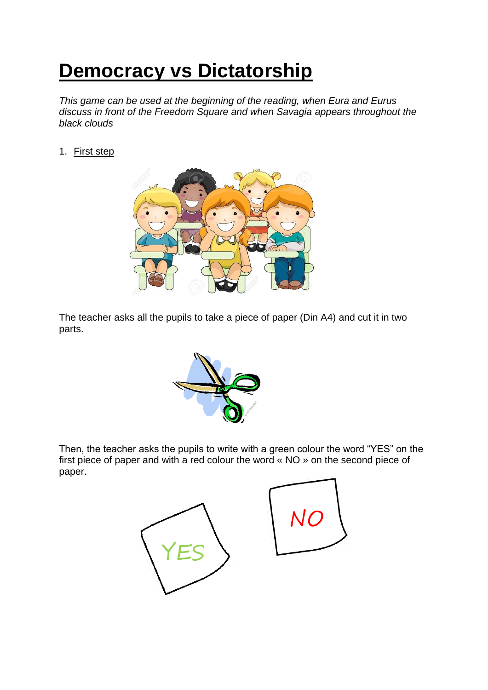# **Democracy vs Dictatorship**

*This game can be used at the beginning of the reading, when Eura and Eurus discuss in front of the Freedom Square and when Savagia appears throughout the black clouds* 

1. First step



The teacher asks all the pupils to take a piece of paper (Din A4) and cut it in two parts.



Then, the teacher asks the pupils to write with a green colour the word "YES" on the first piece of paper and with a red colour the word « NO » on the second piece of paper.

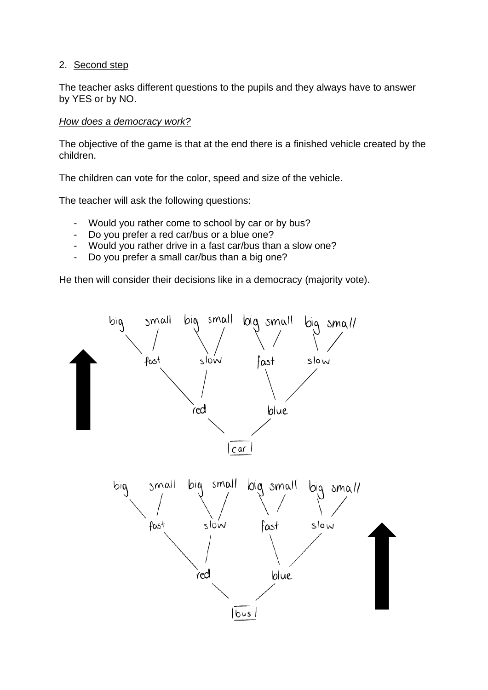## 2. Second step

The teacher asks different questions to the pupils and they always have to answer by YES or by NO.

## *How does a democracy work?*

The objective of the game is that at the end there is a finished vehicle created by the children.

The children can vote for the color, speed and size of the vehicle.

The teacher will ask the following questions:

- Would you rather come to school by car or by bus?
- Do you prefer a red car/bus or a blue one?
- Would you rather drive in a fast car/bus than a slow one?
- Do you prefer a small car/bus than a big one?

He then will consider their decisions like in a democracy (majority vote).